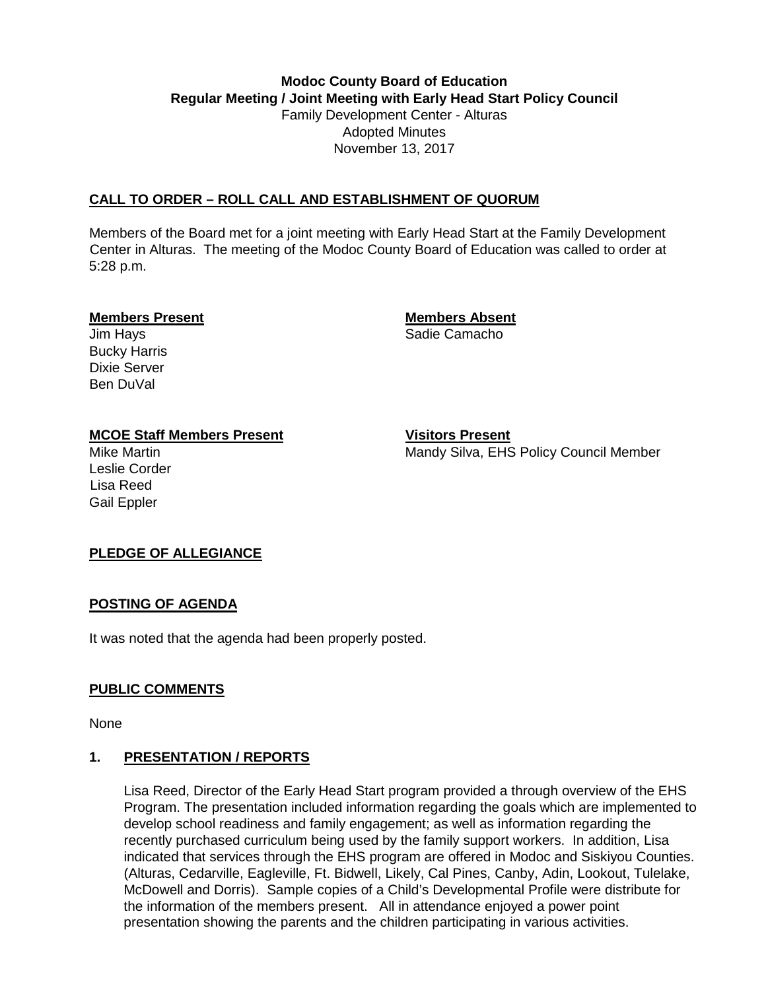# **Modoc County Board of Education Regular Meeting / Joint Meeting with Early Head Start Policy Council**  Family Development Center - Alturas Adopted Minutes November 13, 2017

# **CALL TO ORDER – ROLL CALL AND ESTABLISHMENT OF QUORUM**

Members of the Board met for a joint meeting with Early Head Start at the Family Development Center in Alturas. The meeting of the Modoc County Board of Education was called to order at 5:28 p.m.

### **Members Present Members Absent**

Bucky Harris Dixie Server Ben DuVal

Jim Hays **Sadie Camacho** Sadie Camacho

# **MCOE Staff Members Present Visitors Present**

Leslie Corder Lisa Reed Gail Eppler

Mike Martin **Manual Mandy Silva, EHS Policy Council Member** Manual Member

# **PLEDGE OF ALLEGIANCE**

# **POSTING OF AGENDA**

It was noted that the agenda had been properly posted.

# **PUBLIC COMMENTS**

None

# **1. PRESENTATION / REPORTS**

Lisa Reed, Director of the Early Head Start program provided a through overview of the EHS Program. The presentation included information regarding the goals which are implemented to develop school readiness and family engagement; as well as information regarding the recently purchased curriculum being used by the family support workers. In addition, Lisa indicated that services through the EHS program are offered in Modoc and Siskiyou Counties. (Alturas, Cedarville, Eagleville, Ft. Bidwell, Likely, Cal Pines, Canby, Adin, Lookout, Tulelake, McDowell and Dorris). Sample copies of a Child's Developmental Profile were distribute for the information of the members present. All in attendance enjoyed a power point presentation showing the parents and the children participating in various activities.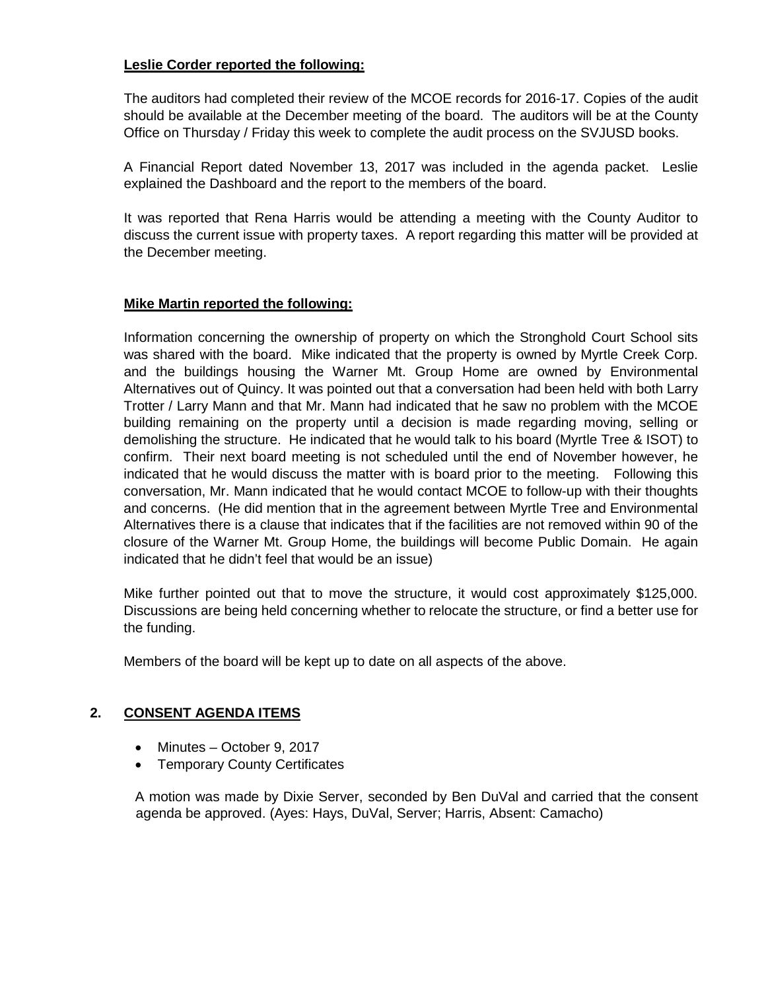## **Leslie Corder reported the following:**

The auditors had completed their review of the MCOE records for 2016-17. Copies of the audit should be available at the December meeting of the board. The auditors will be at the County Office on Thursday / Friday this week to complete the audit process on the SVJUSD books.

A Financial Report dated November 13, 2017 was included in the agenda packet. Leslie explained the Dashboard and the report to the members of the board.

It was reported that Rena Harris would be attending a meeting with the County Auditor to discuss the current issue with property taxes. A report regarding this matter will be provided at the December meeting.

# **Mike Martin reported the following:**

Information concerning the ownership of property on which the Stronghold Court School sits was shared with the board. Mike indicated that the property is owned by Myrtle Creek Corp. and the buildings housing the Warner Mt. Group Home are owned by Environmental Alternatives out of Quincy. It was pointed out that a conversation had been held with both Larry Trotter / Larry Mann and that Mr. Mann had indicated that he saw no problem with the MCOE building remaining on the property until a decision is made regarding moving, selling or demolishing the structure. He indicated that he would talk to his board (Myrtle Tree & ISOT) to confirm. Their next board meeting is not scheduled until the end of November however, he indicated that he would discuss the matter with is board prior to the meeting. Following this conversation, Mr. Mann indicated that he would contact MCOE to follow-up with their thoughts and concerns. (He did mention that in the agreement between Myrtle Tree and Environmental Alternatives there is a clause that indicates that if the facilities are not removed within 90 of the closure of the Warner Mt. Group Home, the buildings will become Public Domain. He again indicated that he didn't feel that would be an issue)

Mike further pointed out that to move the structure, it would cost approximately \$125,000. Discussions are being held concerning whether to relocate the structure, or find a better use for the funding.

Members of the board will be kept up to date on all aspects of the above.

## **2. CONSENT AGENDA ITEMS**

- Minutes October 9, 2017
- Temporary County Certificates

A motion was made by Dixie Server, seconded by Ben DuVal and carried that the consent agenda be approved. (Ayes: Hays, DuVal, Server; Harris, Absent: Camacho)